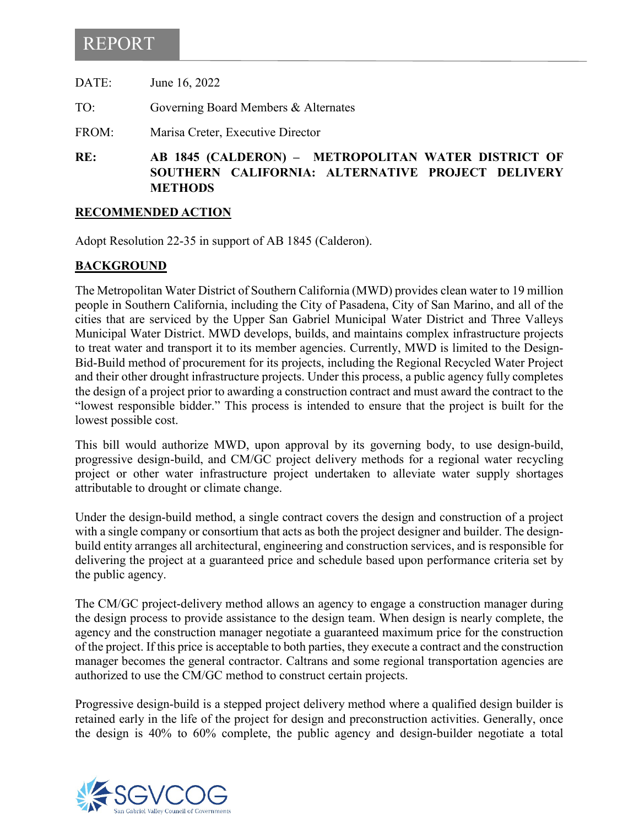# REPORT

| DATE: | June 16, 2022                        |
|-------|--------------------------------------|
| TO:   | Governing Board Members & Alternates |
| FROM: | Marisa Creter, Executive Director    |

**RE: AB 1845 (CALDERON) – METROPOLITAN WATER DISTRICT OF SOUTHERN CALIFORNIA: ALTERNATIVE PROJECT DELIVERY METHODS**

#### **RECOMMENDED ACTION**

Adopt Resolution 22-35 in support of AB 1845 (Calderon).

### **BACKGROUND**

The Metropolitan Water District of Southern California (MWD) provides clean water to 19 million people in Southern California, including the City of Pasadena, City of San Marino, and all of the cities that are serviced by the Upper San Gabriel Municipal Water District and Three Valleys Municipal Water District. MWD develops, builds, and maintains complex infrastructure projects to treat water and transport it to its member agencies. Currently, MWD is limited to the Design-Bid-Build method of procurement for its projects, including the Regional Recycled Water Project and their other drought infrastructure projects. Under this process, a public agency fully completes the design of a project prior to awarding a construction contract and must award the contract to the "lowest responsible bidder." This process is intended to ensure that the project is built for the lowest possible cost.

This bill would authorize MWD, upon approval by its governing body, to use design-build, progressive design-build, and CM/GC project delivery methods for a regional water recycling project or other water infrastructure project undertaken to alleviate water supply shortages attributable to drought or climate change.

Under the design-build method, a single contract covers the design and construction of a project with a single company or consortium that acts as both the project designer and builder. The designbuild entity arranges all architectural, engineering and construction services, and is responsible for delivering the project at a guaranteed price and schedule based upon performance criteria set by the public agency.

The CM/GC project-delivery method allows an agency to engage a construction manager during the design process to provide assistance to the design team. When design is nearly complete, the agency and the construction manager negotiate a guaranteed maximum price for the construction of the project. If this price is acceptable to both parties, they execute a contract and the construction manager becomes the general contractor. Caltrans and some regional transportation agencies are authorized to use the CM/GC method to construct certain projects.

Progressive design-build is a stepped project delivery method where a qualified design builder is retained early in the life of the project for design and preconstruction activities. Generally, once the design is 40% to 60% complete, the public agency and design-builder negotiate a total

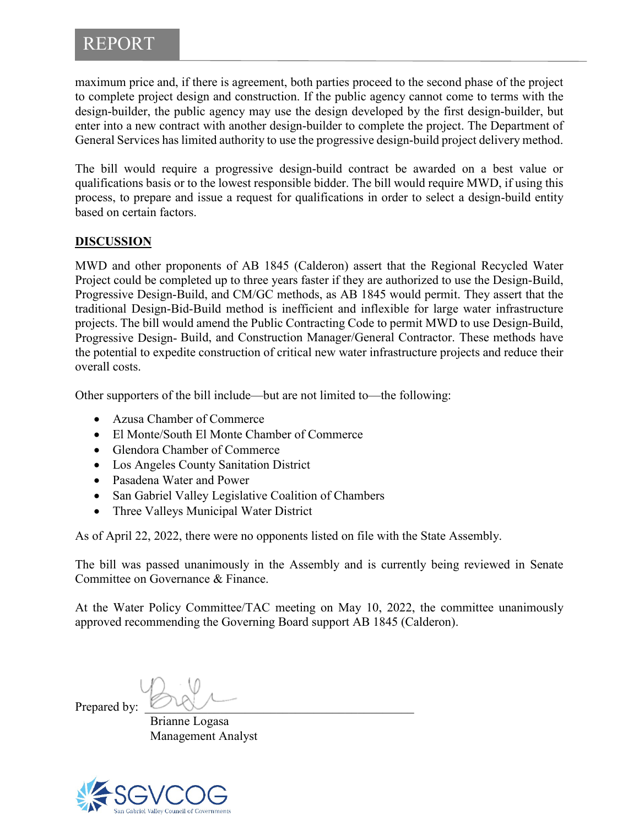## REPORT

maximum price and, if there is agreement, both parties proceed to the second phase of the project to complete project design and construction. If the public agency cannot come to terms with the design-builder, the public agency may use the design developed by the first design-builder, but enter into a new contract with another design-builder to complete the project. The Department of General Services has limited authority to use the progressive design-build project delivery method.

The bill would require a progressive design-build contract be awarded on a best value or qualifications basis or to the lowest responsible bidder. The bill would require MWD, if using this process, to prepare and issue a request for qualifications in order to select a design-build entity based on certain factors.

### **DISCUSSION**

MWD and other proponents of AB 1845 (Calderon) assert that the Regional Recycled Water Project could be completed up to three years faster if they are authorized to use the Design-Build, Progressive Design-Build, and CM/GC methods, as AB 1845 would permit. They assert that the traditional Design-Bid-Build method is inefficient and inflexible for large water infrastructure projects. The bill would amend the Public Contracting Code to permit MWD to use Design-Build, Progressive Design- Build, and Construction Manager/General Contractor. These methods have the potential to expedite construction of critical new water infrastructure projects and reduce their overall costs.

Other supporters of the bill include—but are not limited to—the following:

- Azusa Chamber of Commerce
- El Monte/South El Monte Chamber of Commerce
- Glendora Chamber of Commerce
- Los Angeles County Sanitation District
- Pasadena Water and Power
- San Gabriel Valley Legislative Coalition of Chambers
- Three Valleys Municipal Water District

As of April 22, 2022, there were no opponents listed on file with the State Assembly.

The bill was passed unanimously in the Assembly and is currently being reviewed in Senate Committee on Governance & Finance.

At the Water Policy Committee/TAC meeting on May 10, 2022, the committee unanimously approved recommending the Governing Board support AB 1845 (Calderon).

Prepared by:

Brianne Logasa Management Analyst